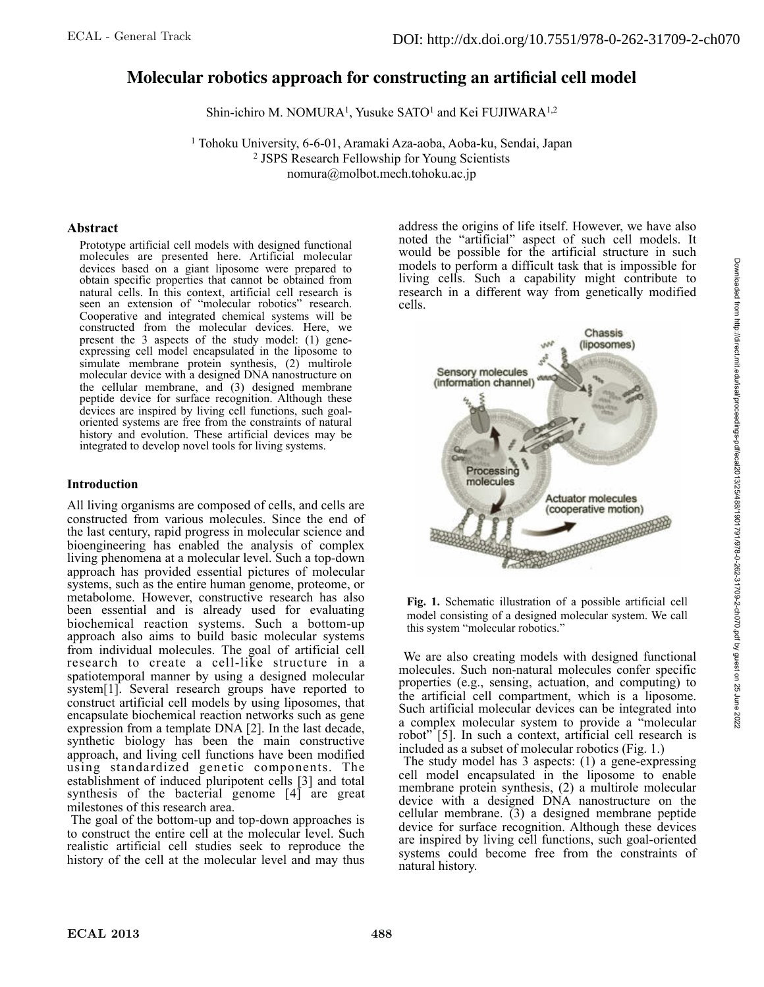# **Molecular robotics approach for constructing an artificial cell model**

Shin-ichiro M. NOMURA<sup>1</sup>, Yusuke SATO<sup>1</sup> and Kei FUJIWARA<sup>1,2</sup>

<sup>1</sup> Tohoku University, 6-6-01, Aramaki Aza-aoba, Aoba-ku, Sendai, Japan 2 JSPS Research Fellowship for Young Scientists nomura@molbot.mech.tohoku.ac.jp

## **Abstract**

Prototype artificial cell models with designed functional molecules are presented here. Artificial molecular devices based on a giant liposome were prepared to obtain specific properties that cannot be obtained from natural cells. In this context, artificial cell research is seen an extension of "molecular robotics" research. Cooperative and integrated chemical systems will be constructed from the molecular devices. Here, we present the 3 aspects of the study model: (1) geneexpressing cell model encapsulated in the liposome to simulate membrane protein synthesis, (2) multirole molecular device with a designed DNA nanostructure on the cellular membrane, and (3) designed membrane peptide device for surface recognition. Although these devices are inspired by living cell functions, such goaloriented systems are free from the constraints of natural history and evolution. These artificial devices may be integrated to develop novel tools for living systems.

# **Introduction**

All living organisms are composed of cells, and cells are constructed from various molecules. Since the end of the last century, rapid progress in molecular science and bioengineering has enabled the analysis of complex living phenomena at a molecular level. Such a top-down approach has provided essential pictures of molecular systems, such as the entire human genome, proteome, or metabolome. However, constructive research has also been essential and is already used for evaluating biochemical reaction systems. Such a bottom-up approach also aims to build basic molecular systems from individual molecules. The goal of artificial cell research to create a cell-like structure in a spatiotemporal manner by using a designed molecular system[1]. Several research groups have reported to construct artificial cell models by using liposomes, that encapsulate biochemical reaction networks such as gene expression from a template DNA [2]. In the last decade, synthetic biology has been the main constructive approach, and living cell functions have been modified using standardized genetic components. The establishment of induced pluripotent cells [3] and total synthesis of the bacterial genome [4] are great milestones of this research area.

The goal of the bottom-up and top-down approaches is to construct the entire cell at the molecular level. Such realistic artificial cell studies seek to reproduce the history of the cell at the molecular level and may thus address the origins of life itself. However, we have also noted the "artificial" aspect of such cell models. It would be possible for the artificial structure in such models to perform a difficult task that is impossible for living cells. Such a capability might contribute to research in a different way from genetically modified cells.



**Fig. 1.** Schematic illustration of a possible artificial cell model consisting of a designed molecular system. We call this system "molecular robotics."

We are also creating models with designed functional molecules. Such non-natural molecules confer specific properties (e.g., sensing, actuation, and computing) to the artificial cell compartment, which is a liposome. Such artificial molecular devices can be integrated into a complex molecular system to provide a "molecular robot" [5]. In such a context, artificial cell research is included as a subset of molecular robotics (Fig. 1.)

 The study model has 3 aspects: (1) a gene-expressing cell model encapsulated in the liposome to enable membrane protein synthesis, (2) a multirole molecular device with a designed DNA nanostructure on the cellular membrane.  $\overline{(3)}$  a designed membrane peptide device for surface recognition. Although these devices are inspired by living cell functions, such goal-oriented systems could become free from the constraints of natural history.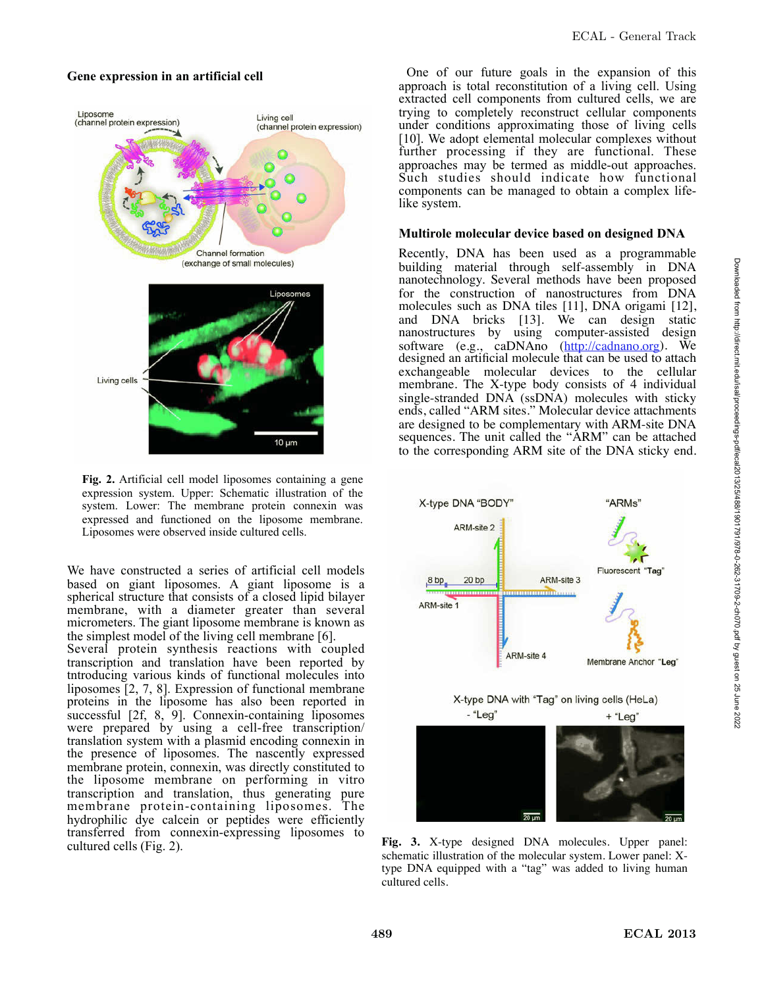

## **Gene expression in an artificial cell**



**Fig. 2.** Artificial cell model liposomes containing a gene expression system. Upper: Schematic illustration of the system. Lower: The membrane protein connexin was expressed and functioned on the liposome membrane. Liposomes were observed inside cultured cells.

We have constructed a series of artificial cell models based on giant liposomes. A giant liposome is a spherical structure that consists of a closed lipid bilayer membrane, with a diameter greater than several micrometers. The giant liposome membrane is known as the simplest model of the living cell membrane [6].

Several protein synthesis reactions with coupled transcription and translation have been reported by tntroducing various kinds of functional molecules into liposomes [2, 7, 8]. Expression of functional membrane proteins in the liposome has also been reported in successful [2f, 8, 9]. Connexin-containing liposomes were prepared by using a cell-free transcription/ translation system with a plasmid encoding connexin in the presence of liposomes. The nascently expressed membrane protein, connexin, was directly constituted to the liposome membrane on performing in vitro transcription and translation, thus generating pure membrane protein-containing liposomes. The hydrophilic dye calcein or peptides were efficiently transferred from connexin-expressing liposomes to cultured cells (Fig. 2).

 One of our future goals in the expansion of this approach is total reconstitution of a living cell. Using extracted cell components from cultured cells, we are trying to completely reconstruct cellular components under conditions approximating those of living cells [10]. We adopt elemental molecular complexes without further processing if they are functional. These approaches may be termed as middle-out approaches. Such studies should indicate how functional components can be managed to obtain a complex lifelike system.

#### **Multirole molecular device based on designed DNA**

Recently, DNA has been used as a programmable building material through self-assembly in DNA nanotechnology. Several methods have been proposed for the construction of nanostructures from DNA molecules such as DNA tiles [11], DNA origami [12], and DNA bricks [13]. We can design static nanostructures by using computer-assisted design software (e.g., caDNAno (http://cadnano.org). We designed an artificial molecule that can be used to attach exchangeable molecular devices to the cellular membrane. The X-type body consists of 4 individual single-stranded DNA (ssDNA) molecules with sticky ends, called "ARM sites." Molecular device attachments are designed to be complementary with ARM-site DNA sequences. The unit called the "ARM" can be attached to the corresponding ARM site of the DNA sticky end.



**Fig. 3.** X-type designed DNA molecules. Upper panel: schematic illustration of the molecular system. Lower panel: Xtype DNA equipped with a "tag" was added to living human cultured cells.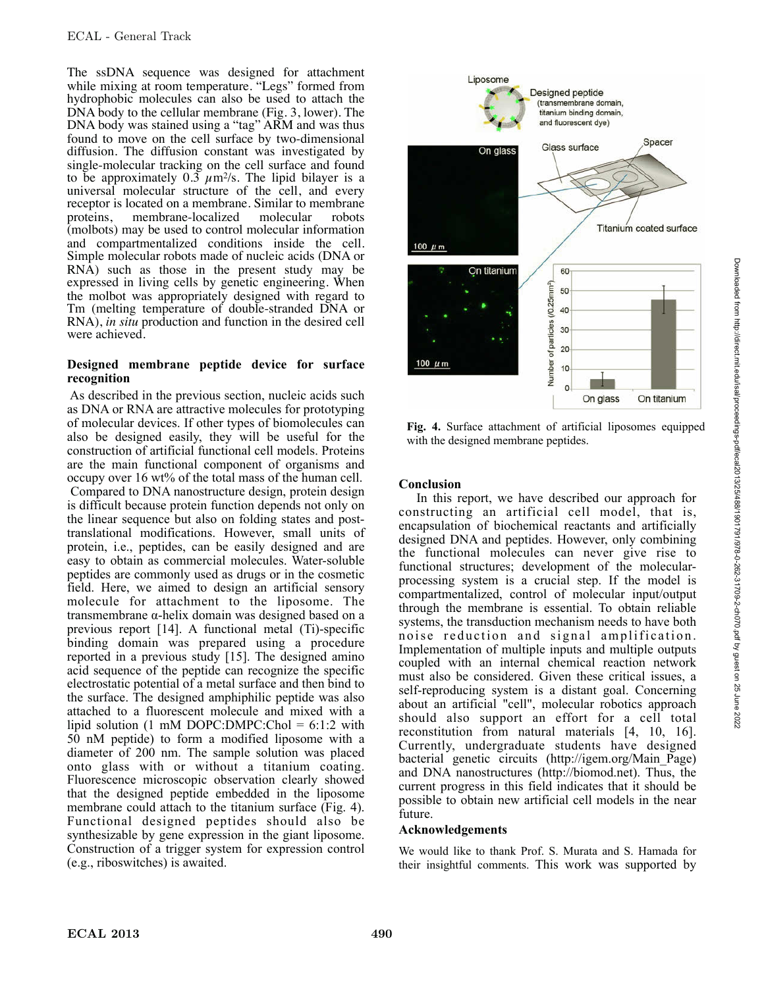The ssDNA sequence was designed for attachment while mixing at room temperature. "Legs" formed from hydrophobic molecules can also be used to attach the DNA body to the cellular membrane (Fig. 3, lower). The DNA body was stained using a "tag" ARM and was thus found to move on the cell surface by two-dimensional diffusion. The diffusion constant was investigated by single-molecular tracking on the cell surface and found to be approximately  $0.3 \mu m^2/s$ . The lipid bilayer is a universal molecular structure of the cell, and every receptor is located on a membrane. Similar to membrane proteins, membrane-localized molecular robots (molbots) may be used to control molecular information and compartmentalized conditions inside the cell. Simple molecular robots made of nucleic acids (DNA or RNA) such as those in the present study may be expressed in living cells by genetic engineering. When the molbot was appropriately designed with regard to Tm (melting temperature of double-stranded DNA or RNA), *in situ* production and function in the desired cell were achieved.

### **Designed membrane peptide device for surface recognition**

 As described in the previous section, nucleic acids such as DNA or RNA are attractive molecules for prototyping of molecular devices. If other types of biomolecules can also be designed easily, they will be useful for the construction of artificial functional cell models. Proteins are the main functional component of organisms and occupy over 16 wt% of the total mass of the human cell. Compared to DNA nanostructure design, protein design is difficult because protein function depends not only on the linear sequence but also on folding states and posttranslational modifications. However, small units of protein, i.e., peptides, can be easily designed and are easy to obtain as commercial molecules. Water-soluble peptides are commonly used as drugs or in the cosmetic field. Here, we aimed to design an artificial sensory molecule for attachment to the liposome. The transmembrane α-helix domain was designed based on a previous report [14]. A functional metal (Ti)-specific binding domain was prepared using a procedure reported in a previous study [15]. The designed amino acid sequence of the peptide can recognize the specific electrostatic potential of a metal surface and then bind to the surface. The designed amphiphilic peptide was also attached to a fluorescent molecule and mixed with a lipid solution (1 mM DOPC:DMPC:Chol =  $6:1:2$  with 50 nM peptide) to form a modified liposome with a diameter of 200 nm. The sample solution was placed onto glass with or without a titanium coating. Fluorescence microscopic observation clearly showed that the designed peptide embedded in the liposome membrane could attach to the titanium surface (Fig. 4). Functional designed peptides should also be synthesizable by gene expression in the giant liposome. Construction of a trigger system for expression control (e.g., riboswitches) is awaited.



**Fig. 4.** Surface attachment of artificial liposomes equipped with the designed membrane peptides.

## **Conclusion**

In this report, we have described our approach for constructing an artificial cell model, that is, encapsulation of biochemical reactants and artificially designed DNA and peptides. However, only combining the functional molecules can never give rise to functional structures; development of the molecularprocessing system is a crucial step. If the model is compartmentalized, control of molecular input/output through the membrane is essential. To obtain reliable systems, the transduction mechanism needs to have both noise reduction and signal amplification. Implementation of multiple inputs and multiple outputs coupled with an internal chemical reaction network must also be considered. Given these critical issues, a self-reproducing system is a distant goal. Concerning about an artificial "cell", molecular robotics approach should also support an effort for a cell total reconstitution from natural materials [4, 10, 16]. Currently, undergraduate students have designed bacterial genetic circuits (http://igem.org/Main\_Page) and DNA nanostructures (http://biomod.net). Thus, the current progress in this field indicates that it should be possible to obtain new artificial cell models in the near future.

## **Acknowledgements**

We would like to thank Prof. S. Murata and S. Hamada for their insightful comments. This work was supported by